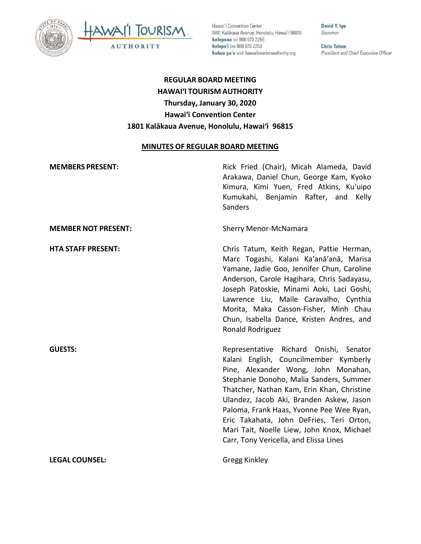



Hawai'i Convention Center 1801 Kalākaua Avenue, Honolulu, Hawai'i 96815 kelepona tel 808 973 2255 kelepa'i fax 808 973 2253 kahua pa'a web hawaiitourismauthority.org

David Y. Ige Governor

**Chris Tatum** President and Chief Executive Officer

# **REGULAR BOARD MEETING HAWAI'I TOURISM AUTHORITY Thursday, January 30, 2020 Hawai'i Convention Center 1801 Kalākaua Avenue, Honolulu, Hawai'i 96815**

#### **MINUTES OF REGULAR BOARD MEETING**

| <b>MEMBERS PRESENT:</b>    | Rick Fried (Chair), Micah Alameda, David<br>Arakawa, Daniel Chun, George Kam, Kyoko<br>Kimura, Kimi Yuen, Fred Atkins, Ku'uipo<br>Kumukahi, Benjamin Rafter, and Kelly<br>Sanders                                                                                                                                                                                                                                                            |
|----------------------------|----------------------------------------------------------------------------------------------------------------------------------------------------------------------------------------------------------------------------------------------------------------------------------------------------------------------------------------------------------------------------------------------------------------------------------------------|
| <b>MEMBER NOT PRESENT:</b> | <b>Sherry Menor-McNamara</b>                                                                                                                                                                                                                                                                                                                                                                                                                 |
| <b>HTA STAFF PRESENT:</b>  | Chris Tatum, Keith Regan, Pattie Herman,<br>Marc Togashi, Kalani Ka'anā'anā, Marisa<br>Yamane, Jadie Goo, Jennifer Chun, Caroline<br>Anderson, Carole Hagihara, Chris Sadayasu,<br>Joseph Patoskie, Minami Aoki, Laci Goshi,<br>Lawrence Liu, Maile Caravalho, Cynthia<br>Morita, Maka Casson-Fisher, Minh Chau<br>Chun, Isabella Dance, Kristen Andres, and<br>Ronald Rodriguez                                                             |
| <b>GUESTS:</b>             | Representative Richard Onishi, Senator<br>Kalani English, Councilmember Kymberly<br>Pine, Alexander Wong, John Monahan,<br>Stephanie Donoho, Malia Sanders, Summer<br>Thatcher, Nathan Kam, Erin Khan, Christine<br>Ulandez, Jacob Aki, Branden Askew, Jason<br>Paloma, Frank Haas, Yvonne Pee Wee Ryan,<br>Eric Takahata, John DeFries, Teri Orton,<br>Mari Tait, Noelle Liew, John Knox, Michael<br>Carr, Tony Vericella, and Elissa Lines |
| <b>LEGAL COUNSEL:</b>      | Gregg Kinkley                                                                                                                                                                                                                                                                                                                                                                                                                                |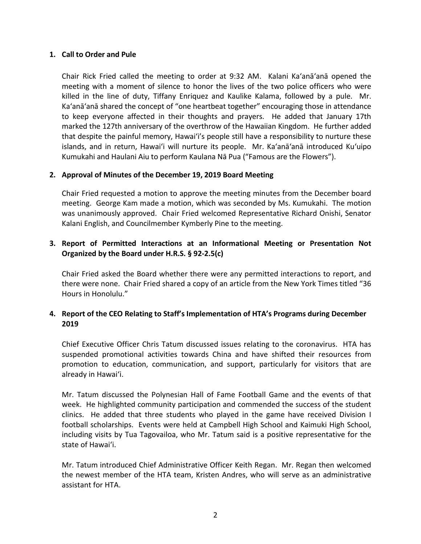#### **1. Call to Order and Pule**

Chair Rick Fried called the meeting to order at 9:32 AM. Kalani Ka'anā'anā opened the meeting with a moment of silence to honor the lives of the two police officers who were killed in the line of duty, Tiffany Enriquez and Kaulike Kalama, followed by a pule. Mr. Ka'anā'anā shared the concept of "one heartbeat together" encouraging those in attendance to keep everyone affected in their thoughts and prayers. He added that January 17th marked the 127th anniversary of the overthrow of the Hawaiian Kingdom. He further added that despite the painful memory, Hawai'i's people still have a responsibility to nurture these islands, and in return, Hawai'i will nurture its people. Mr. Ka'anā'anā introduced Ku'uipo Kumukahi and Haulani Aiu to perform Kaulana Nā Pua ("Famous are the Flowers").

### **2. Approval of Minutes of the December 19, 2019 Board Meeting**

Chair Fried requested a motion to approve the meeting minutes from the December board meeting. George Kam made a motion, which was seconded by Ms. Kumukahi. The motion was unanimously approved. Chair Fried welcomed Representative Richard Onishi, Senator Kalani English, and Councilmember Kymberly Pine to the meeting.

# **3. Report of Permitted Interactions at an Informational Meeting or Presentation Not Organized by the Board under H.R.S. § 92-2.5(c)**

Chair Fried asked the Board whether there were any permitted interactions to report, and there were none. Chair Fried shared a copy of an article from the New York Times titled "36 Hours in Honolulu."

# **4. Report of the CEO Relating to Staff's Implementation of HTA's Programs during December 2019**

Chief Executive Officer Chris Tatum discussed issues relating to the coronavirus. HTA has suspended promotional activities towards China and have shifted their resources from promotion to education, communication, and support, particularly for visitors that are already in Hawai'i.

Mr. Tatum discussed the Polynesian Hall of Fame Football Game and the events of that week. He highlighted community participation and commended the success of the student clinics. He added that three students who played in the game have received Division I football scholarships. Events were held at Campbell High School and Kaimuki High School, including visits by Tua Tagovailoa, who Mr. Tatum said is a positive representative for the state of Hawai'i.

Mr. Tatum introduced Chief Administrative Officer Keith Regan. Mr. Regan then welcomed the newest member of the HTA team, Kristen Andres, who will serve as an administrative assistant for HTA.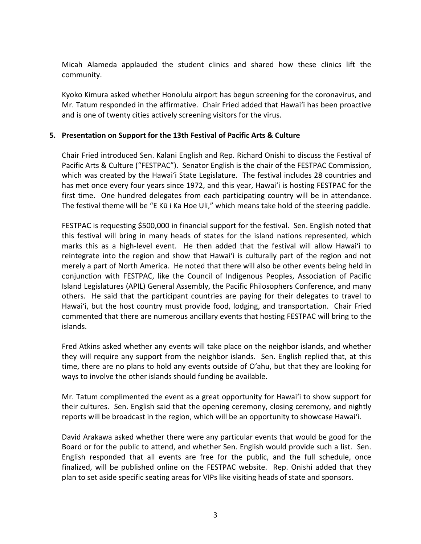Micah Alameda applauded the student clinics and shared how these clinics lift the community.

Kyoko Kimura asked whether Honolulu airport has begun screening for the coronavirus, and Mr. Tatum responded in the affirmative. Chair Fried added that Hawai'i has been proactive and is one of twenty cities actively screening visitors for the virus.

### **5. Presentation on Support for the 13th Festival of Pacific Arts & Culture**

Chair Fried introduced Sen. Kalani English and Rep. Richard Onishi to discuss the Festival of Pacific Arts & Culture ("FESTPAC"). Senator English is the chair of the FESTPAC Commission, which was created by the Hawai'i State Legislature. The festival includes 28 countries and has met once every four years since 1972, and this year, Hawai'i is hosting FESTPAC for the first time. One hundred delegates from each participating country will be in attendance. The festival theme will be "E Kū i Ka Hoe Uli," which means take hold of the steering paddle.

FESTPAC is requesting \$500,000 in financial support for the festival. Sen. English noted that this festival will bring in many heads of states for the island nations represented, which marks this as a high-level event. He then added that the festival will allow Hawai'i to reintegrate into the region and show that Hawai'i is culturally part of the region and not merely a part of North America. He noted that there will also be other events being held in conjunction with FESTPAC, like the Council of Indigenous Peoples, Association of Pacific Island Legislatures (APIL) General Assembly, the Pacific Philosophers Conference, and many others. He said that the participant countries are paying for their delegates to travel to Hawai'i, but the host country must provide food, lodging, and transportation. Chair Fried commented that there are numerous ancillary events that hosting FESTPAC will bring to the islands.

Fred Atkins asked whether any events will take place on the neighbor islands, and whether they will require any support from the neighbor islands. Sen. English replied that, at this time, there are no plans to hold any events outside of O'ahu, but that they are looking for ways to involve the other islands should funding be available.

Mr. Tatum complimented the event as a great opportunity for Hawai'i to show support for their cultures. Sen. English said that the opening ceremony, closing ceremony, and nightly reports will be broadcast in the region, which will be an opportunity to showcase Hawai'i.

David Arakawa asked whether there were any particular events that would be good for the Board or for the public to attend, and whether Sen. English would provide such a list. Sen. English responded that all events are free for the public, and the full schedule, once finalized, will be published online on the FESTPAC website. Rep. Onishi added that they plan to set aside specific seating areas for VIPs like visiting heads of state and sponsors.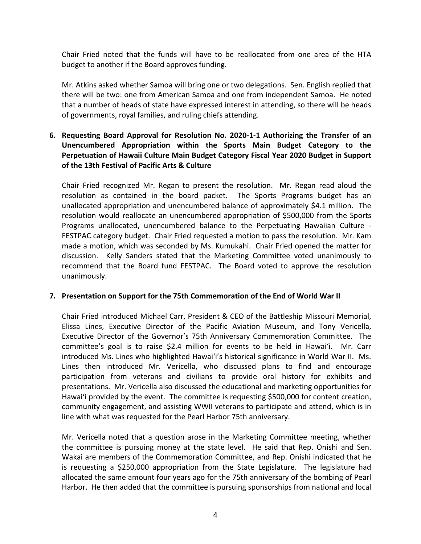Chair Fried noted that the funds will have to be reallocated from one area of the HTA budget to another if the Board approves funding.

Mr. Atkins asked whether Samoa will bring one or two delegations. Sen. English replied that there will be two: one from American Samoa and one from independent Samoa. He noted that a number of heads of state have expressed interest in attending, so there will be heads of governments, royal families, and ruling chiefs attending.

# **6. Requesting Board Approval for Resolution No. 2020-1-1 Authorizing the Transfer of an Unencumbered Appropriation within the Sports Main Budget Category to the Perpetuation of Hawaii Culture Main Budget Category Fiscal Year 2020 Budget in Support of the 13th Festival of Pacific Arts & Culture**

Chair Fried recognized Mr. Regan to present the resolution. Mr. Regan read aloud the resolution as contained in the board packet. The Sports Programs budget has an unallocated appropriation and unencumbered balance of approximately \$4.1 million. The resolution would reallocate an unencumbered appropriation of \$500,000 from the Sports Programs unallocated, unencumbered balance to the Perpetuating Hawaiian Culture - FESTPAC category budget. Chair Fried requested a motion to pass the resolution. Mr. Kam made a motion, which was seconded by Ms. Kumukahi. Chair Fried opened the matter for discussion. Kelly Sanders stated that the Marketing Committee voted unanimously to recommend that the Board fund FESTPAC. The Board voted to approve the resolution unanimously.

# **7. Presentation on Support for the 75th Commemoration of the End of World War II**

Chair Fried introduced Michael Carr, President & CEO of the Battleship Missouri Memorial, Elissa Lines, Executive Director of the Pacific Aviation Museum, and Tony Vericella, Executive Director of the Governor's 75th Anniversary Commemoration Committee. The committee's goal is to raise \$2.4 million for events to be held in Hawai'i. Mr. Carr introduced Ms. Lines who highlighted Hawai'i's historical significance in World War II. Ms. Lines then introduced Mr. Vericella, who discussed plans to find and encourage participation from veterans and civilians to provide oral history for exhibits and presentations. Mr. Vericella also discussed the educational and marketing opportunities for Hawai'i provided by the event. The committee is requesting \$500,000 for content creation, community engagement, and assisting WWII veterans to participate and attend, which is in line with what was requested for the Pearl Harbor 75th anniversary.

Mr. Vericella noted that a question arose in the Marketing Committee meeting, whether the committee is pursuing money at the state level. He said that Rep. Onishi and Sen. Wakai are members of the Commemoration Committee, and Rep. Onishi indicated that he is requesting a \$250,000 appropriation from the State Legislature. The legislature had allocated the same amount four years ago for the 75th anniversary of the bombing of Pearl Harbor. He then added that the committee is pursuing sponsorships from national and local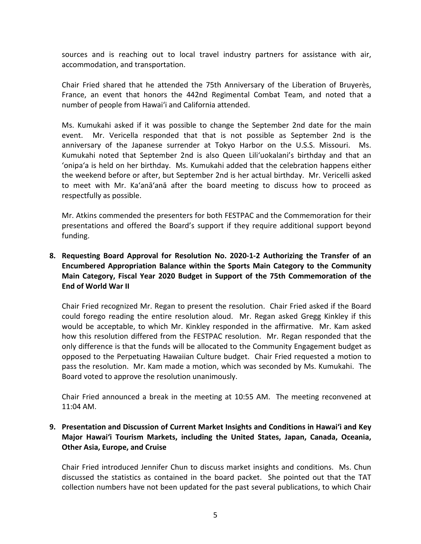sources and is reaching out to local travel industry partners for assistance with air, accommodation, and transportation.

Chair Fried shared that he attended the 75th Anniversary of the Liberation of Bruyerès, France, an event that honors the 442nd Regimental Combat Team, and noted that a number of people from Hawai'i and California attended.

Ms. Kumukahi asked if it was possible to change the September 2nd date for the main event. Mr. Vericella responded that that is not possible as September 2nd is the anniversary of the Japanese surrender at Tokyo Harbor on the U.S.S. Missouri. Ms. Kumukahi noted that September 2nd is also Queen Lili'uokalani's birthday and that an 'onipa'a is held on her birthday. Ms. Kumukahi added that the celebration happens either the weekend before or after, but September 2nd is her actual birthday. Mr. Vericelli asked to meet with Mr. Ka'anā'anā after the board meeting to discuss how to proceed as respectfully as possible.

Mr. Atkins commended the presenters for both FESTPAC and the Commemoration for their presentations and offered the Board's support if they require additional support beyond funding.

# **8. Requesting Board Approval for Resolution No. 2020-1-2 Authorizing the Transfer of an Encumbered Appropriation Balance within the Sports Main Category to the Community Main Category, Fiscal Year 2020 Budget in Support of the 75th Commemoration of the End of World War II**

Chair Fried recognized Mr. Regan to present the resolution. Chair Fried asked if the Board could forego reading the entire resolution aloud. Mr. Regan asked Gregg Kinkley if this would be acceptable, to which Mr. Kinkley responded in the affirmative. Mr. Kam asked how this resolution differed from the FESTPAC resolution. Mr. Regan responded that the only difference is that the funds will be allocated to the Community Engagement budget as opposed to the Perpetuating Hawaiian Culture budget. Chair Fried requested a motion to pass the resolution. Mr. Kam made a motion, which was seconded by Ms. Kumukahi. The Board voted to approve the resolution unanimously.

Chair Fried announced a break in the meeting at 10:55 AM. The meeting reconvened at 11:04 AM.

# **9. Presentation and Discussion of Current Market Insights and Conditions in Hawai'i and Key Major Hawai'i Tourism Markets, including the United States, Japan, Canada, Oceania, Other Asia, Europe, and Cruise**

Chair Fried introduced Jennifer Chun to discuss market insights and conditions. Ms. Chun discussed the statistics as contained in the board packet. She pointed out that the TAT collection numbers have not been updated for the past several publications, to which Chair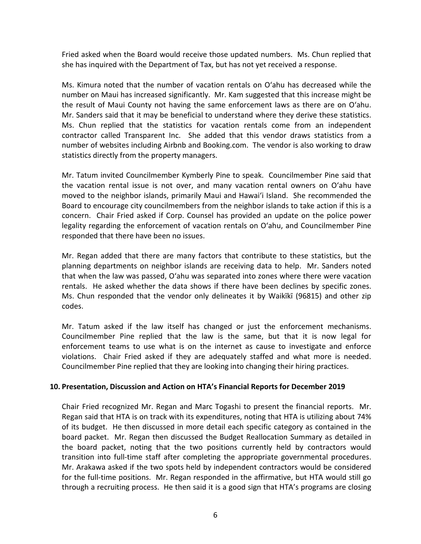Fried asked when the Board would receive those updated numbers. Ms. Chun replied that she has inquired with the Department of Tax, but has not yet received a response.

Ms. Kimura noted that the number of vacation rentals on O'ahu has decreased while the number on Maui has increased significantly. Mr. Kam suggested that this increase might be the result of Maui County not having the same enforcement laws as there are on O'ahu. Mr. Sanders said that it may be beneficial to understand where they derive these statistics. Ms. Chun replied that the statistics for vacation rentals come from an independent contractor called Transparent Inc. She added that this vendor draws statistics from a number of websites including Airbnb and Booking.com. The vendor is also working to draw statistics directly from the property managers.

Mr. Tatum invited Councilmember Kymberly Pine to speak. Councilmember Pine said that the vacation rental issue is not over, and many vacation rental owners on O'ahu have moved to the neighbor islands, primarily Maui and Hawai'i Island. She recommended the Board to encourage city councilmembers from the neighbor islands to take action if this is a concern. Chair Fried asked if Corp. Counsel has provided an update on the police power legality regarding the enforcement of vacation rentals on O'ahu, and Councilmember Pine responded that there have been no issues.

Mr. Regan added that there are many factors that contribute to these statistics, but the planning departments on neighbor islands are receiving data to help. Mr. Sanders noted that when the law was passed, O'ahu was separated into zones where there were vacation rentals. He asked whether the data shows if there have been declines by specific zones. Ms. Chun responded that the vendor only delineates it by Waikīkī (96815) and other zip codes.

Mr. Tatum asked if the law itself has changed or just the enforcement mechanisms. Councilmember Pine replied that the law is the same, but that it is now legal for enforcement teams to use what is on the internet as cause to investigate and enforce violations. Chair Fried asked if they are adequately staffed and what more is needed. Councilmember Pine replied that they are looking into changing their hiring practices.

#### **10. Presentation, Discussion and Action on HTA's Financial Reports for December 2019**

Chair Fried recognized Mr. Regan and Marc Togashi to present the financial reports. Mr. Regan said that HTA is on track with its expenditures, noting that HTA is utilizing about 74% of its budget. He then discussed in more detail each specific category as contained in the board packet. Mr. Regan then discussed the Budget Reallocation Summary as detailed in the board packet, noting that the two positions currently held by contractors would transition into full-time staff after completing the appropriate governmental procedures. Mr. Arakawa asked if the two spots held by independent contractors would be considered for the full-time positions. Mr. Regan responded in the affirmative, but HTA would still go through a recruiting process. He then said it is a good sign that HTA's programs are closing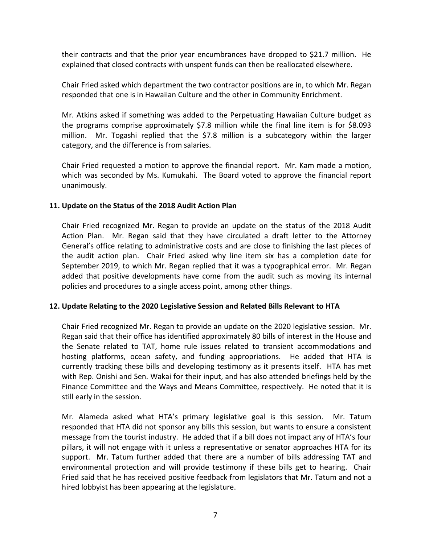their contracts and that the prior year encumbrances have dropped to \$21.7 million. He explained that closed contracts with unspent funds can then be reallocated elsewhere.

Chair Fried asked which department the two contractor positions are in, to which Mr. Regan responded that one is in Hawaiian Culture and the other in Community Enrichment.

Mr. Atkins asked if something was added to the Perpetuating Hawaiian Culture budget as the programs comprise approximately \$7.8 million while the final line item is for \$8.093 million. Mr. Togashi replied that the \$7.8 million is a subcategory within the larger category, and the difference is from salaries.

Chair Fried requested a motion to approve the financial report. Mr. Kam made a motion, which was seconded by Ms. Kumukahi. The Board voted to approve the financial report unanimously.

### **11. Update on the Status of the 2018 Audit Action Plan**

Chair Fried recognized Mr. Regan to provide an update on the status of the 2018 Audit Action Plan. Mr. Regan said that they have circulated a draft letter to the Attorney General's office relating to administrative costs and are close to finishing the last pieces of the audit action plan. Chair Fried asked why line item six has a completion date for September 2019, to which Mr. Regan replied that it was a typographical error. Mr. Regan added that positive developments have come from the audit such as moving its internal policies and procedures to a single access point, among other things.

# **12. Update Relating to the 2020 Legislative Session and Related Bills Relevant to HTA**

Chair Fried recognized Mr. Regan to provide an update on the 2020 legislative session. Mr. Regan said that their office has identified approximately 80 bills of interest in the House and the Senate related to TAT, home rule issues related to transient accommodations and hosting platforms, ocean safety, and funding appropriations. He added that HTA is currently tracking these bills and developing testimony as it presents itself. HTA has met with Rep. Onishi and Sen. Wakai for their input, and has also attended briefings held by the Finance Committee and the Ways and Means Committee, respectively. He noted that it is still early in the session.

Mr. Alameda asked what HTA's primary legislative goal is this session. Mr. Tatum responded that HTA did not sponsor any bills this session, but wants to ensure a consistent message from the tourist industry. He added that if a bill does not impact any of HTA's four pillars, it will not engage with it unless a representative or senator approaches HTA for its support. Mr. Tatum further added that there are a number of bills addressing TAT and environmental protection and will provide testimony if these bills get to hearing. Chair Fried said that he has received positive feedback from legislators that Mr. Tatum and not a hired lobbyist has been appearing at the legislature.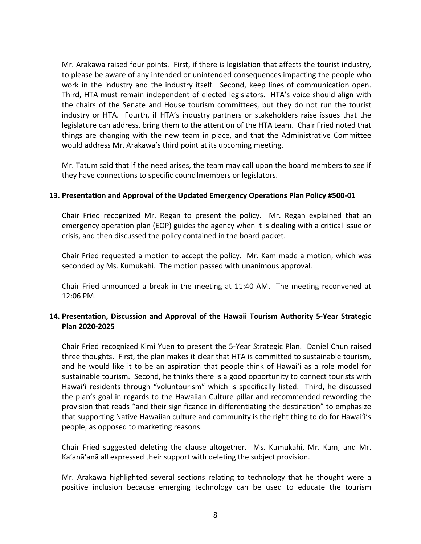Mr. Arakawa raised four points. First, if there is legislation that affects the tourist industry, to please be aware of any intended or unintended consequences impacting the people who work in the industry and the industry itself. Second, keep lines of communication open. Third, HTA must remain independent of elected legislators. HTA's voice should align with the chairs of the Senate and House tourism committees, but they do not run the tourist industry or HTA. Fourth, if HTA's industry partners or stakeholders raise issues that the legislature can address, bring them to the attention of the HTA team. Chair Fried noted that things are changing with the new team in place, and that the Administrative Committee would address Mr. Arakawa's third point at its upcoming meeting.

Mr. Tatum said that if the need arises, the team may call upon the board members to see if they have connections to specific councilmembers or legislators.

### **13. Presentation and Approval of the Updated Emergency Operations Plan Policy #500-01**

Chair Fried recognized Mr. Regan to present the policy. Mr. Regan explained that an emergency operation plan (EOP) guides the agency when it is dealing with a critical issue or crisis, and then discussed the policy contained in the board packet.

Chair Fried requested a motion to accept the policy. Mr. Kam made a motion, which was seconded by Ms. Kumukahi. The motion passed with unanimous approval.

Chair Fried announced a break in the meeting at 11:40 AM. The meeting reconvened at 12:06 PM.

# **14. Presentation, Discussion and Approval of the Hawaii Tourism Authority 5-Year Strategic Plan 2020-2025**

Chair Fried recognized Kimi Yuen to present the 5-Year Strategic Plan. Daniel Chun raised three thoughts. First, the plan makes it clear that HTA is committed to sustainable tourism, and he would like it to be an aspiration that people think of Hawai'i as a role model for sustainable tourism. Second, he thinks there is a good opportunity to connect tourists with Hawai'i residents through "voluntourism" which is specifically listed. Third, he discussed the plan's goal in regards to the Hawaiian Culture pillar and recommended rewording the provision that reads "and their significance in differentiating the destination" to emphasize that supporting Native Hawaiian culture and community is the right thing to do for Hawai'i's people, as opposed to marketing reasons.

Chair Fried suggested deleting the clause altogether. Ms. Kumukahi, Mr. Kam, and Mr. Ka'anā'anā all expressed their support with deleting the subject provision.

Mr. Arakawa highlighted several sections relating to technology that he thought were a positive inclusion because emerging technology can be used to educate the tourism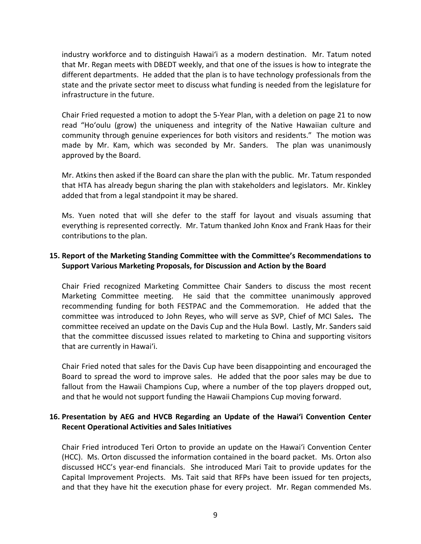industry workforce and to distinguish Hawai'i as a modern destination. Mr. Tatum noted that Mr. Regan meets with DBEDT weekly, and that one of the issues is how to integrate the different departments. He added that the plan is to have technology professionals from the state and the private sector meet to discuss what funding is needed from the legislature for infrastructure in the future.

Chair Fried requested a motion to adopt the 5-Year Plan, with a deletion on page 21 to now read "Ho'oulu (grow) the uniqueness and integrity of the Native Hawaiian culture and community through genuine experiences for both visitors and residents." The motion was made by Mr. Kam, which was seconded by Mr. Sanders. The plan was unanimously approved by the Board.

Mr. Atkins then asked if the Board can share the plan with the public. Mr. Tatum responded that HTA has already begun sharing the plan with stakeholders and legislators. Mr. Kinkley added that from a legal standpoint it may be shared.

Ms. Yuen noted that will she defer to the staff for layout and visuals assuming that everything is represented correctly. Mr. Tatum thanked John Knox and Frank Haas for their contributions to the plan.

# **15. Report of the Marketing Standing Committee with the Committee's Recommendations to Support Various Marketing Proposals, for Discussion and Action by the Board**

Chair Fried recognized Marketing Committee Chair Sanders to discuss the most recent Marketing Committee meeting. He said that the committee unanimously approved recommending funding for both FESTPAC and the Commemoration. He added that the committee was introduced to John Reyes, who will serve as SVP, Chief of MCI Sales**.** The committee received an update on the Davis Cup and the Hula Bowl. Lastly, Mr. Sanders said that the committee discussed issues related to marketing to China and supporting visitors that are currently in Hawai'i.

Chair Fried noted that sales for the Davis Cup have been disappointing and encouraged the Board to spread the word to improve sales. He added that the poor sales may be due to fallout from the Hawaii Champions Cup, where a number of the top players dropped out, and that he would not support funding the Hawaii Champions Cup moving forward.

# **16. Presentation by AEG and HVCB Regarding an Update of the Hawai'i Convention Center Recent Operational Activities and Sales Initiatives**

Chair Fried introduced Teri Orton to provide an update on the Hawai'i Convention Center (HCC). Ms. Orton discussed the information contained in the board packet. Ms. Orton also discussed HCC's year-end financials. She introduced Mari Tait to provide updates for the Capital Improvement Projects. Ms. Tait said that RFPs have been issued for ten projects, and that they have hit the execution phase for every project. Mr. Regan commended Ms.